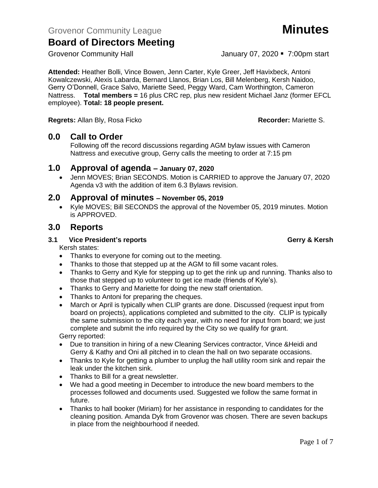**Attended:** Heather Bolli, Vince Bowen, Jenn Carter, Kyle Greer, Jeff Havixbeck, Antoni Kowalczewski, Alexis Labarda, Bernard Llanos, Brian Los, Bill Melenberg, Kersh Naidoo, Gerry O'Donnell, Grace Salvo, Mariette Seed, Peggy Ward, Cam Worthington, Cameron Nattress. **Total members =** 16 plus CRC rep, plus new resident Michael Janz (former EFCL employee). **Total: 18 people present.**

**Regrets:** Allan Bly, Rosa Ficko **Recorder:** Mariette S.

## **0.0 Call to Order**

Following off the record discussions regarding AGM bylaw issues with Cameron Nattress and executive group, Gerry calls the meeting to order at 7:15 pm

## **1.0 Approval of agenda – January 07, 2020**

• Jenn MOVES; Brian SECONDS. Motion is CARRIED to approve the January 07, 2020 Agenda v3 with the addition of item 6.3 Bylaws revision.

## **2.0 Approval of minutes – November 05, 2019**

• Kyle MOVES; Bill SECONDS the approval of the November 05, 2019 minutes. Motion is APPROVED.

## **3.0 Reports**

#### **3.1 Vice President's reports Gerry & Kersh**

Kersh states:

- Thanks to everyone for coming out to the meeting.
- Thanks to those that stepped up at the AGM to fill some vacant roles.
- Thanks to Gerry and Kyle for stepping up to get the rink up and running. Thanks also to those that stepped up to volunteer to get ice made (friends of Kyle's).
- Thanks to Gerry and Mariette for doing the new staff orientation.
- Thanks to Antoni for preparing the cheques.
- March or April is typically when CLIP grants are done. Discussed (request input from board on projects), applications completed and submitted to the city. CLIP is typically the same submission to the city each year, with no need for input from board; we just complete and submit the info required by the City so we qualify for grant.

Gerry reported:

- Due to transition in hiring of a new Cleaning Services contractor, Vince &Heidi and Gerry & Kathy and Oni all pitched in to clean the hall on two separate occasions.
- Thanks to Kyle for getting a plumber to unplug the hall utility room sink and repair the leak under the kitchen sink.
- Thanks to Bill for a great newsletter.
- We had a good meeting in December to introduce the new board members to the processes followed and documents used. Suggested we follow the same format in future.
- Thanks to hall booker (Miriam) for her assistance in responding to candidates for the cleaning position. Amanda Dyk from Grovenor was chosen. There are seven backups in place from the neighbourhood if needed.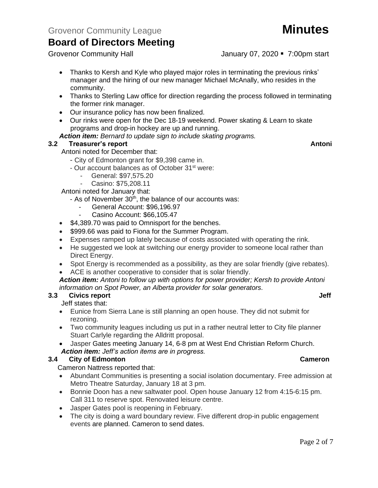- Thanks to Kersh and Kyle who played major roles in terminating the previous rinks' manager and the hiring of our new manager Michael McAnally, who resides in the community.
- Thanks to Sterling Law office for direction regarding the process followed in terminating the former rink manager.
- Our insurance policy has now been finalized.
- Our rinks were open for the Dec 18-19 weekend. Power skating & Learn to skate programs and drop-in hockey are up and running.
- *Action item: Bernard to update sign to include skating programs.*

## **3.2 Freasurer's report Antonic Structure Antonic Structure Antonic Antonic Antonic Antonic Antonic Antonic Antoni**

Antoni noted for December that:

- City of Edmonton grant for \$9,398 came in.

- Our account balances as of October 31<sup>st</sup> were:
	- General: \$97,575.20
	- Casino: \$75,208.11

Antoni noted for January that:

- As of November 30<sup>th</sup>, the balance of our accounts was:
	- General Account: \$96,196.97
	- Casino Account: \$66,105.47
- \$4,389.70 was paid to Omnisport for the benches.
- \$999.66 was paid to Fiona for the Summer Program.
- Expenses ramped up lately because of costs associated with operating the rink.
- He suggested we look at switching our energy provider to someone local rather than Direct Energy.
- Spot Energy is recommended as a possibility, as they are solar friendly (give rebates).
- ACE is another cooperative to consider that is solar friendly.

#### *Action item: Antoni to follow up with options for power provider; Kersh to provide Antoni information on Spot Power, an Alberta provider for solar generators.*

## **3.3 Civics report Jeff Jeff Jeff Jeff Jeff Jeff Jeff Jeff**

Jeff states that:

- Eunice from Sierra Lane is still planning an open house. They did not submit for rezoning.
- Two community leagues including us put in a rather neutral letter to City file planner Stuart Carlyle regarding the Alldritt proposal.
- Jasper Gates meeting January 14, 6-8 pm at West End Christian Reform Church. *Action item: Jeff's action items are in progress.*

### **3.4 City of Edmonton Cameron**

Cameron Nattress reported that:

- Abundant Communities is presenting a social isolation documentary. Free admission at Metro Theatre Saturday, January 18 at 3 pm.
- Bonnie Doon has a new saltwater pool. Open house January 12 from 4:15-6:15 pm. Call 311 to reserve spot. Renovated leisure centre.
- Jasper Gates pool is reopening in February.
- The city is doing a ward boundary review. Five different drop-in public engagement events are planned. Cameron to send dates.

Grovenor Community Hall **Grovenor Community Hall** January 07, 2020 • 7:00pm start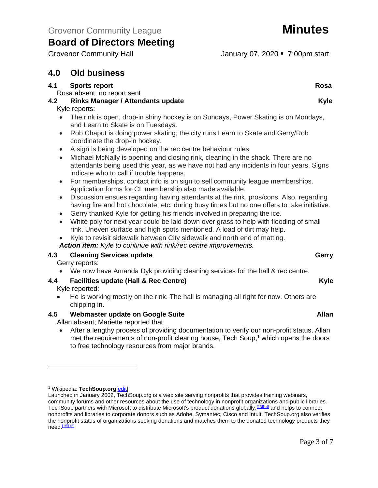# **4.0 Old business**

### **4.1** Sports report Rosa

Rosa absent; no report sent

## **4.2 Rinks Manager / Attendants update Kyle**

#### Kyle reports:

- The rink is open, drop-in shiny hockey is on Sundays, Power Skating is on Mondays, and Learn to Skate is on Tuesdays.
- Rob Chaput is doing power skating; the city runs Learn to Skate and Gerry/Rob coordinate the drop-in hockey.
- A sign is being developed on the rec centre behaviour rules.
- Michael McNally is opening and closing rink, cleaning in the shack. There are no attendants being used this year, as we have not had any incidents in four years. Signs indicate who to call if trouble happens.
- For memberships, contact info is on sign to sell community league memberships. Application forms for CL membership also made available.
- Discussion ensues regarding having attendants at the rink, pros/cons. Also, regarding having fire and hot chocolate, etc. during busy times but no one offers to take initiative.
- Gerry thanked Kyle for getting his friends involved in preparing the ice.
- White poly for next year could be laid down over grass to help with flooding of small rink. Uneven surface and high spots mentioned. A load of dirt may help.
- Kyle to revisit sidewalk between City sidewalk and north end of matting. *Action item: Kyle to continue with rink/rec centre improvements.*

## **4.3 Cleaning Services update Gerry** Gerry Gerry

Gerry reports:

• We now have Amanda Dyk providing cleaning services for the hall & rec centre.

## **4.4 Facilities update (Hall & Rec Centre) Kyle**

Kyle reported:

• He is working mostly on the rink. The hall is managing all right for now. Others are chipping in.

## **4.5 Webmaster update on Google Suite Allan**

Allan absent; Mariette reported that:

• After a lengthy process of providing documentation to verify our non-profit status, Allan met the requirements of non-profit clearing house, Tech Soup,<sup>1</sup> which opens the doors to free technology resources from major brands.

Grovenor Community Hall January 07, 2020 • 7:00pm start

<sup>1</sup> Wikipedia: **TechSoup.org**[\[edit\]](https://en.wikipedia.org/w/index.php?title=TechSoup&action=edit§ion=3)

Launched in January 2002, TechSoup.org is a web site serving nonprofits that provides training webinars, community forums and other resources about the use of technology in nonprofit organizations and public libraries. TechSoup partners with Microsoft to distribute Microsoft's product donations globally, [\[13\]\[](https://en.wikipedia.org/wiki/TechSoup#cite_note-GreenGadgets-13)[14\]](https://en.wikipedia.org/wiki/TechSoup#cite_note-GospelHer15-14) and helps to connect nonprofits and libraries to corporate donors such as Adobe, Symantec, Cisco and Intuit. TechSoup.org also verifies the nonprofit status of organizations seeking donations and matches them to the donated technology products they need.[\[15\]\[](https://en.wikipedia.org/wiki/TechSoup#cite_note-NPQ2013-15)[16\]](https://en.wikipedia.org/wiki/TechSoup#cite_note-MicroBlog-16)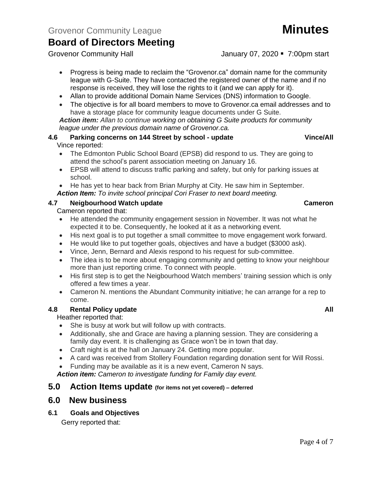Grovenor Community Hall January 07, 2020 • 7:00pm start

- Progress is being made to reclaim the "Grovenor.ca" domain name for the community league with G-Suite. They have contacted the registered owner of the name and if no response is received, they will lose the rights to it (and we can apply for it).
- Allan to provide additional Domain Name Services (DNS) information to Google.
- The objective is for all board members to move to Grovenor.ca email addresses and to have a storage place for community league documents under G Suite.

*Action item: Allan to continue working on obtaining G Suite products for community league under the previous domain name of Grovenor.ca.*

#### **4.6 Parking concerns on 144 Street by school - update Vince/All** Vince reported:

- The Edmonton Public School Board (EPSB) did respond to us. They are going to attend the school's parent association meeting on January 16.
- EPSB will attend to discuss traffic parking and safety, but only for parking issues at school.
- He has yet to hear back from Brian Murphy at City. He saw him in September.

### *Action Item: To invite school principal Cori Fraser to next board meeting.*

## **4.7 Neigbourhood Watch update Cameron**

Cameron reported that:

- He attended the community engagement session in November. It was not what he expected it to be. Consequently, he looked at it as a networking event.
- His next goal is to put together a small committee to move engagement work forward.
- He would like to put together goals, objectives and have a budget (\$3000 ask).
- Vince, Jenn, Bernard and Alexis respond to his request for sub-committee.
- The idea is to be more about engaging community and getting to know your neighbour more than just reporting crime. To connect with people.
- His first step is to get the Neigbourhood Watch members' training session which is only offered a few times a year.
- Cameron N. mentions the Abundant Community initiative; he can arrange for a rep to come.

## **4.8 Rental Policy update All**

Heather reported that:

- She is busy at work but will follow up with contracts.
- Additionally, she and Grace are having a planning session. They are considering a family day event. It is challenging as Grace won't be in town that day.
- Craft night is at the hall on January 24. Getting more popular.
- A card was received from Stollery Foundation regarding donation sent for Will Rossi.
- Funding may be available as it is a new event, Cameron N says.

*Action item: Cameron to investigate funding for Family day event.*

## **5.0 Action Items update (for items not yet covered) – deferred**

# **6.0 New business**

### **6.1 Goals and Objectives**

Gerry reported that: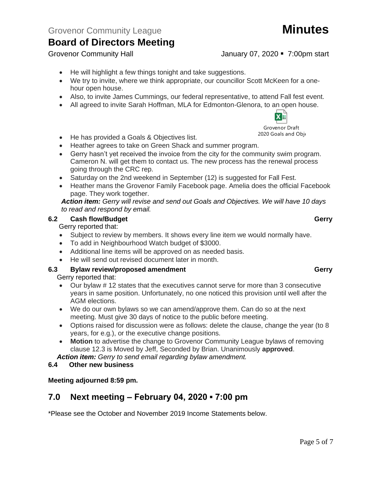- He will highlight a few things tonight and take suggestions.
- We try to invite, where we think appropriate, our councillor Scott McKeen for a onehour open house.
- Also, to invite James Cummings, our federal representative, to attend Fall fest event.
- All agreed to invite Sarah Hoffman, MLA for Edmonton-Glenora, to an open house.

• He has provided a Goals & Objectives list.

- Heather agrees to take on Green Shack and summer program.
- Gerry hasn't yet received the invoice from the city for the community swim program. Cameron N. will get them to contact us. The new process has the renewal process going through the CRC rep.
- Saturday on the 2nd weekend in September (12) is suggested for Fall Fest.
- Heather mans the Grovenor Family Facebook page. Amelia does the official Facebook page. They work together.

*Action item: Gerry will revise and send out Goals and Objectives. We will have 10 days to read and respond by email.*

#### **6.2 Cash flow/Budget Gerry**

Gerry reported that:

- Subject to review by members. It shows every line item we would normally have.
- To add in Neighbourhood Watch budget of \$3000.
- Additional line items will be approved on as needed basis.
- He will send out revised document later in month.

### **6.3 Bylaw review/proposed amendment Gerry**

Gerry reported that:

- Our bylaw # 12 states that the executives cannot serve for more than 3 consecutive years in same position. Unfortunately, no one noticed this provision until well after the AGM elections.
- We do our own bylaws so we can amend/approve them. Can do so at the next meeting. Must give 30 days of notice to the public before meeting.
- Options raised for discussion were as follows: delete the clause, change the year (to 8 years, for e.g.), or the executive change positions.
- **Motion** to advertise the change to Grovenor Community League bylaws of removing clause 12.3 is Moved by Jeff, Seconded by Brian. Unanimously **approved**.

*Action item: Gerry to send email regarding bylaw amendment.*

#### **6.4 Other new business**

**Meeting adjourned 8:59 pm.**

# **7.0 Next meeting – February 04, 2020 ▪ 7:00 pm**

\*Please see the October and November 2019 Income Statements below.

#### Page 5 of 7

# Grovenor Community Hall January 07, 2020 • 7:00pm start

Grovenor Draft 2020 Goals and Obje

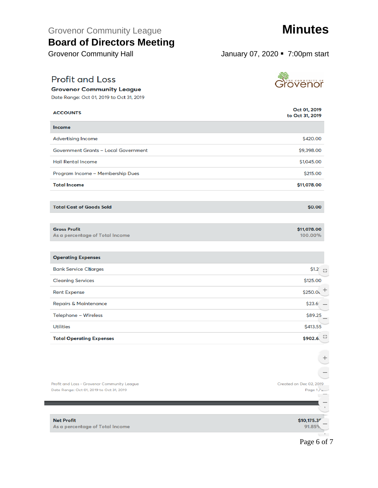Grovenor Community League **Minutes** 

# **Board of Directors Meeting**

Grovenor Community Hall January 07, 2020 • 7:00pm start

# **Profit and Loss**

**Grovenor Community League** Date Range: Oct 01, 2019 to Oct 31, 2019

Oct 01, 2019 **ACCOUNTS** to Oct 31, 2019 Income **Advertising Income** \$420.00 **Government Grants - Local Government** \$9,398.00 **Hall Rental Income** \$1,045.00 Program Income - Membership Dues \$215.00 \$11,078.00 **Total Income** 

**Total Cost of Goods Sold** 

#### **Gross Profit**

As a percentage of Total Income

| <b>Operating Expenses</b>        |                                     |
|----------------------------------|-------------------------------------|
| <b>Bank Service Charges</b>      | $$1.2^{\circ}$ $\frac{1}{2}$        |
| <b>Cleaning Services</b>         | \$125.00                            |
| <b>Rent Expense</b>              | \$250.0                             |
| <b>Repairs &amp; Maintenance</b> | \$23.6                              |
| Telephone - Wireless             | \$89.25<br>$\overline{\phantom{a}}$ |
| <b>Utilities</b>                 | \$413.55                            |
| <b>Total Operating Expenses</b>  | $\frac{4}{3}$<br>\$902.6            |





\$0.00

\$11,078.00

100.00%

### Page 6 of 7